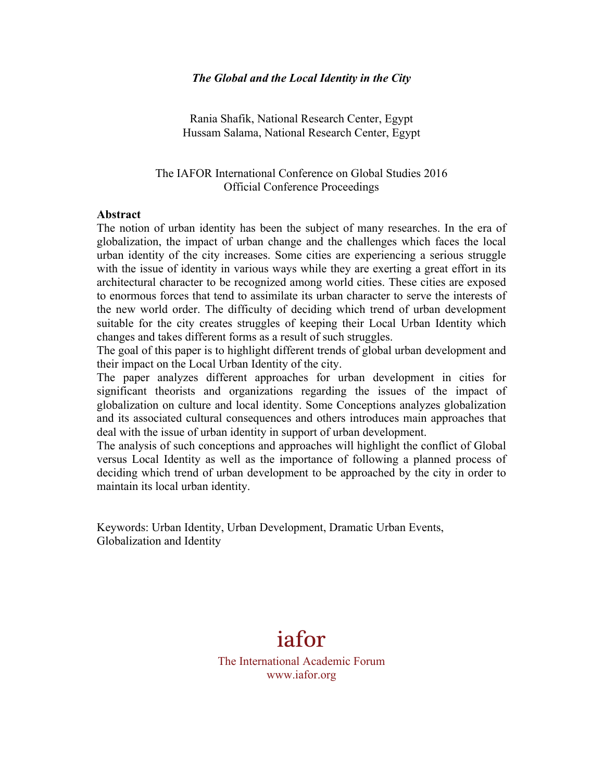#### *The Global and the Local Identity in the City*

Rania Shafik, National Research Center, Egypt Hussam Salama, National Research Center, Egypt

The IAFOR International Conference on Global Studies 2016 Official Conference Proceedings

#### **Abstract**

The notion of urban identity has been the subject of many researches. In the era of globalization, the impact of urban change and the challenges which faces the local urban identity of the city increases. Some cities are experiencing a serious struggle with the issue of identity in various ways while they are exerting a great effort in its architectural character to be recognized among world cities. These cities are exposed to enormous forces that tend to assimilate its urban character to serve the interests of the new world order. The difficulty of deciding which trend of urban development suitable for the city creates struggles of keeping their Local Urban Identity which changes and takes different forms as a result of such struggles.

The goal of this paper is to highlight different trends of global urban development and their impact on the Local Urban Identity of the city.

The paper analyzes different approaches for urban development in cities for significant theorists and organizations regarding the issues of the impact of globalization on culture and local identity. Some Conceptions analyzes globalization and its associated cultural consequences and others introduces main approaches that deal with the issue of urban identity in support of urban development.

The analysis of such conceptions and approaches will highlight the conflict of Global versus Local Identity as well as the importance of following a planned process of deciding which trend of urban development to be approached by the city in order to maintain its local urban identity.

Keywords: Urban Identity, Urban Development, Dramatic Urban Events, Globalization and Identity

# iafor

The International Academic Forum www.iafor.org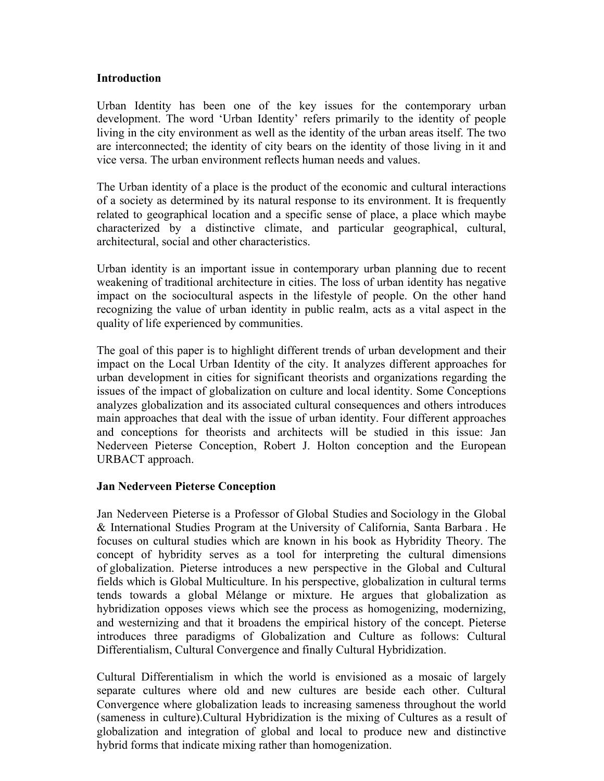## **Introduction**

Urban Identity has been one of the key issues for the contemporary urban development. The word 'Urban Identity' refers primarily to the identity of people living in the city environment as well as the identity of the urban areas itself. The two are interconnected; the identity of city bears on the identity of those living in it and vice versa. The urban environment reflects human needs and values.

The Urban identity of a place is the product of the economic and cultural interactions of a society as determined by its natural response to its environment. It is frequently related to geographical location and a specific sense of place, a place which maybe characterized by a distinctive climate, and particular geographical, cultural, architectural, social and other characteristics.

Urban identity is an important issue in contemporary urban planning due to recent weakening of traditional architecture in cities. The loss of urban identity has negative impact on the sociocultural aspects in the lifestyle of people. On the other hand recognizing the value of urban identity in public realm, acts as a vital aspect in the quality of life experienced by communities.

The goal of this paper is to highlight different trends of urban development and their impact on the Local Urban Identity of the city. It analyzes different approaches for urban development in cities for significant theorists and organizations regarding the issues of the impact of globalization on culture and local identity. Some Conceptions analyzes globalization and its associated cultural consequences and others introduces main approaches that deal with the issue of urban identity. Four different approaches and conceptions for theorists and architects will be studied in this issue: Jan Nederveen Pieterse Conception, Robert J. Holton conception and the European URBACT approach.

## **Jan Nederveen Pieterse Conception**

Jan Nederveen Pieterse is a Professor of Global Studies and Sociology in the Global & International Studies Program at the University of California, Santa Barbara . He focuses on cultural studies which are known in his book as Hybridity Theory. The concept of hybridity serves as a tool for interpreting the cultural dimensions of globalization. Pieterse introduces a new perspective in the Global and Cultural fields which is Global Multiculture. In his perspective, globalization in cultural terms tends towards a global Mélange or mixture. He argues that globalization as hybridization opposes views which see the process as homogenizing, modernizing, and westernizing and that it broadens the empirical history of the concept. Pieterse introduces three paradigms of Globalization and Culture as follows: Cultural Differentialism, Cultural Convergence and finally Cultural Hybridization.

Cultural Differentialism in which the world is envisioned as a mosaic of largely separate cultures where old and new cultures are beside each other. Cultural Convergence where globalization leads to increasing sameness throughout the world (sameness in culture).Cultural Hybridization is the mixing of Cultures as a result of globalization and integration of global and local to produce new and distinctive hybrid forms that indicate mixing rather than homogenization.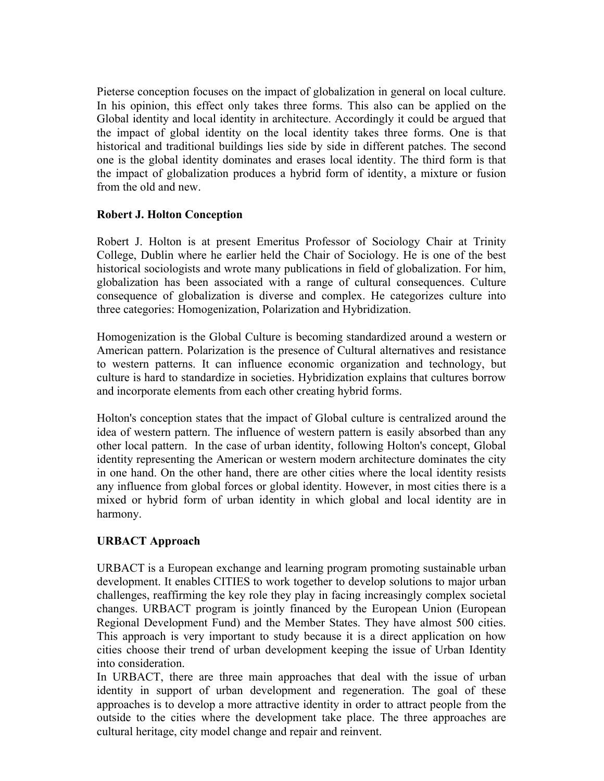Pieterse conception focuses on the impact of globalization in general on local culture. In his opinion, this effect only takes three forms. This also can be applied on the Global identity and local identity in architecture. Accordingly it could be argued that the impact of global identity on the local identity takes three forms. One is that historical and traditional buildings lies side by side in different patches. The second one is the global identity dominates and erases local identity. The third form is that the impact of globalization produces a hybrid form of identity, a mixture or fusion from the old and new.

# **Robert J. Holton Conception**

Robert J. Holton is at present Emeritus Professor of Sociology Chair at Trinity College, Dublin where he earlier held the Chair of Sociology. He is one of the best historical sociologists and wrote many publications in field of globalization. For him, globalization has been associated with a range of cultural consequences. Culture consequence of globalization is diverse and complex. He categorizes culture into three categories: Homogenization, Polarization and Hybridization.

Homogenization is the Global Culture is becoming standardized around a western or American pattern. Polarization is the presence of Cultural alternatives and resistance to western patterns. It can influence economic organization and technology, but culture is hard to standardize in societies. Hybridization explains that cultures borrow and incorporate elements from each other creating hybrid forms.

Holton's conception states that the impact of Global culture is centralized around the idea of western pattern. The influence of western pattern is easily absorbed than any other local pattern. In the case of urban identity, following Holton's concept, Global identity representing the American or western modern architecture dominates the city in one hand. On the other hand, there are other cities where the local identity resists any influence from global forces or global identity. However, in most cities there is a mixed or hybrid form of urban identity in which global and local identity are in harmony.

# **URBACT Approach**

URBACT is a European exchange and learning program promoting sustainable urban development. It enables CITIES to work together to develop solutions to major urban challenges, reaffirming the key role they play in facing increasingly complex societal changes. URBACT program is jointly financed by the European Union (European Regional Development Fund) and the Member States. They have almost 500 cities. This approach is very important to study because it is a direct application on how cities choose their trend of urban development keeping the issue of Urban Identity into consideration.

In URBACT, there are three main approaches that deal with the issue of urban identity in support of urban development and regeneration. The goal of these approaches is to develop a more attractive identity in order to attract people from the outside to the cities where the development take place. The three approaches are cultural heritage, city model change and repair and reinvent.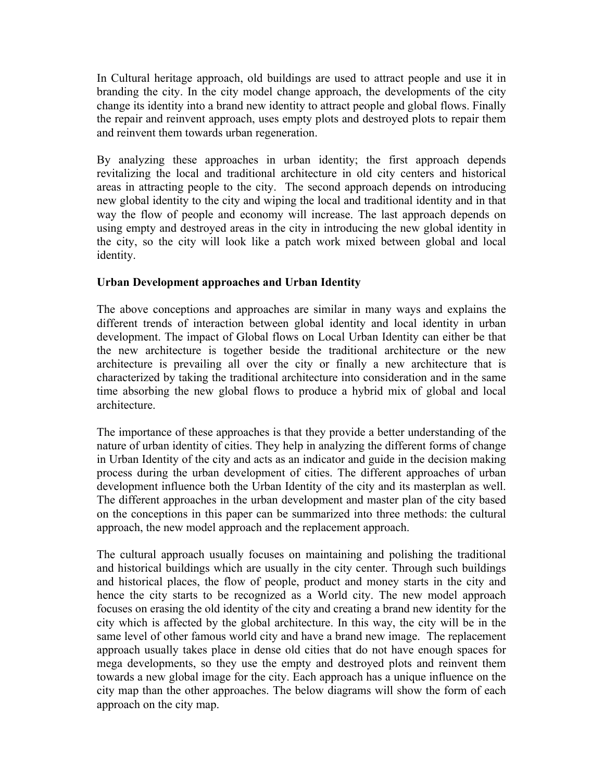In Cultural heritage approach, old buildings are used to attract people and use it in branding the city. In the city model change approach, the developments of the city change its identity into a brand new identity to attract people and global flows. Finally the repair and reinvent approach, uses empty plots and destroyed plots to repair them and reinvent them towards urban regeneration.

By analyzing these approaches in urban identity; the first approach depends revitalizing the local and traditional architecture in old city centers and historical areas in attracting people to the city. The second approach depends on introducing new global identity to the city and wiping the local and traditional identity and in that way the flow of people and economy will increase. The last approach depends on using empty and destroyed areas in the city in introducing the new global identity in the city, so the city will look like a patch work mixed between global and local identity.

## **Urban Development approaches and Urban Identity**

The above conceptions and approaches are similar in many ways and explains the different trends of interaction between global identity and local identity in urban development. The impact of Global flows on Local Urban Identity can either be that the new architecture is together beside the traditional architecture or the new architecture is prevailing all over the city or finally a new architecture that is characterized by taking the traditional architecture into consideration and in the same time absorbing the new global flows to produce a hybrid mix of global and local architecture.

The importance of these approaches is that they provide a better understanding of the nature of urban identity of cities. They help in analyzing the different forms of change in Urban Identity of the city and acts as an indicator and guide in the decision making process during the urban development of cities. The different approaches of urban development influence both the Urban Identity of the city and its masterplan as well. The different approaches in the urban development and master plan of the city based on the conceptions in this paper can be summarized into three methods: the cultural approach, the new model approach and the replacement approach.

The cultural approach usually focuses on maintaining and polishing the traditional and historical buildings which are usually in the city center. Through such buildings and historical places, the flow of people, product and money starts in the city and hence the city starts to be recognized as a World city. The new model approach focuses on erasing the old identity of the city and creating a brand new identity for the city which is affected by the global architecture. In this way, the city will be in the same level of other famous world city and have a brand new image. The replacement approach usually takes place in dense old cities that do not have enough spaces for mega developments, so they use the empty and destroyed plots and reinvent them towards a new global image for the city. Each approach has a unique influence on the city map than the other approaches. The below diagrams will show the form of each approach on the city map.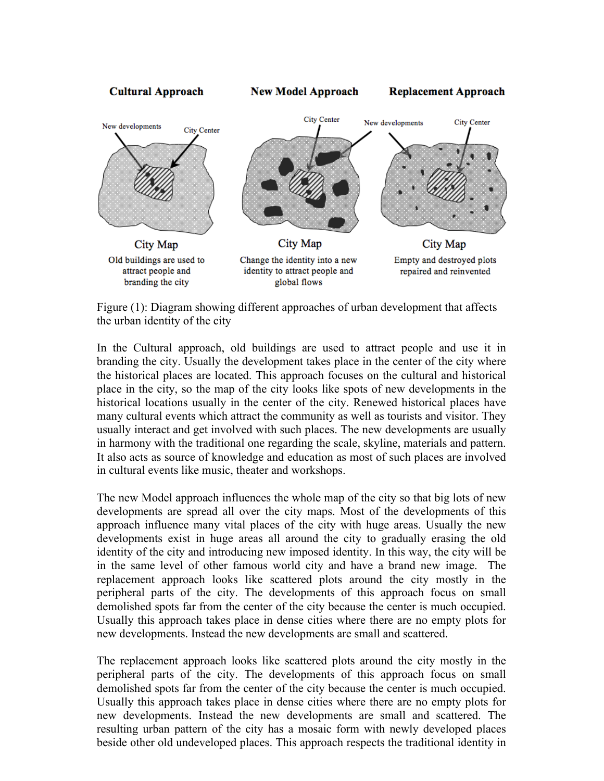

Figure (1): Diagram showing different approaches of urban development that affects the urban identity of the city

In the Cultural approach, old buildings are used to attract people and use it in branding the city. Usually the development takes place in the center of the city where the historical places are located. This approach focuses on the cultural and historical place in the city, so the map of the city looks like spots of new developments in the historical locations usually in the center of the city. Renewed historical places have many cultural events which attract the community as well as tourists and visitor. They usually interact and get involved with such places. The new developments are usually in harmony with the traditional one regarding the scale, skyline, materials and pattern. It also acts as source of knowledge and education as most of such places are involved in cultural events like music, theater and workshops.

The new Model approach influences the whole map of the city so that big lots of new developments are spread all over the city maps. Most of the developments of this approach influence many vital places of the city with huge areas. Usually the new developments exist in huge areas all around the city to gradually erasing the old identity of the city and introducing new imposed identity. In this way, the city will be in the same level of other famous world city and have a brand new image. The replacement approach looks like scattered plots around the city mostly in the peripheral parts of the city. The developments of this approach focus on small demolished spots far from the center of the city because the center is much occupied. Usually this approach takes place in dense cities where there are no empty plots for new developments. Instead the new developments are small and scattered.

The replacement approach looks like scattered plots around the city mostly in the peripheral parts of the city. The developments of this approach focus on small demolished spots far from the center of the city because the center is much occupied. Usually this approach takes place in dense cities where there are no empty plots for new developments. Instead the new developments are small and scattered. The resulting urban pattern of the city has a mosaic form with newly developed places beside other old undeveloped places. This approach respects the traditional identity in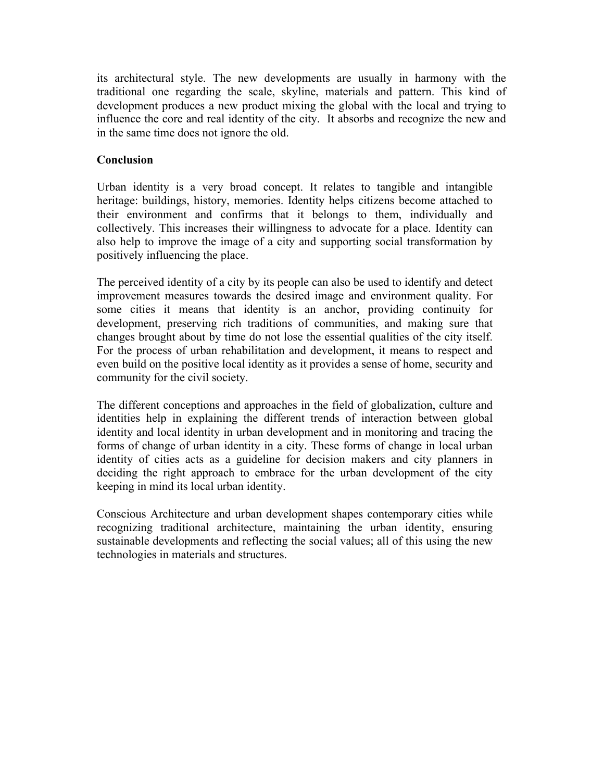its architectural style. The new developments are usually in harmony with the traditional one regarding the scale, skyline, materials and pattern. This kind of development produces a new product mixing the global with the local and trying to influence the core and real identity of the city. It absorbs and recognize the new and in the same time does not ignore the old.

# **Conclusion**

Urban identity is a very broad concept. It relates to tangible and intangible heritage: buildings, history, memories. Identity helps citizens become attached to their environment and confirms that it belongs to them, individually and collectively. This increases their willingness to advocate for a place. Identity can also help to improve the image of a city and supporting social transformation by positively influencing the place.

The perceived identity of a city by its people can also be used to identify and detect improvement measures towards the desired image and environment quality. For some cities it means that identity is an anchor, providing continuity for development, preserving rich traditions of communities, and making sure that changes brought about by time do not lose the essential qualities of the city itself. For the process of urban rehabilitation and development, it means to respect and even build on the positive local identity as it provides a sense of home, security and community for the civil society.

The different conceptions and approaches in the field of globalization, culture and identities help in explaining the different trends of interaction between global identity and local identity in urban development and in monitoring and tracing the forms of change of urban identity in a city. These forms of change in local urban identity of cities acts as a guideline for decision makers and city planners in deciding the right approach to embrace for the urban development of the city keeping in mind its local urban identity.

Conscious Architecture and urban development shapes contemporary cities while recognizing traditional architecture, maintaining the urban identity, ensuring sustainable developments and reflecting the social values; all of this using the new technologies in materials and structures.